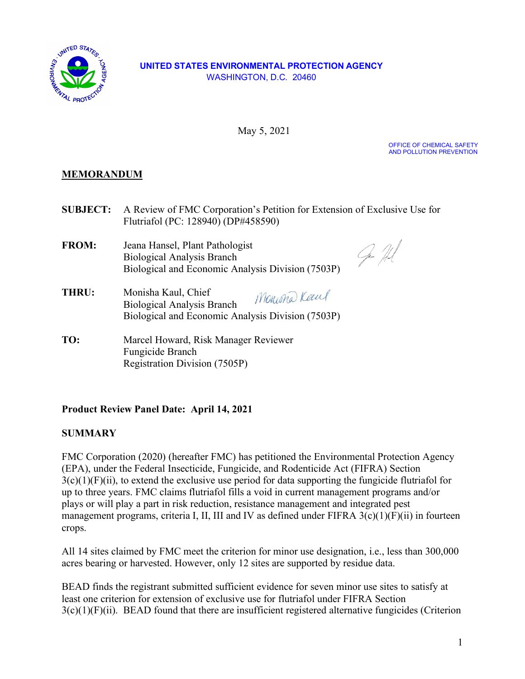

#### **UNITED STATES ENVIRONMENTAL PROTECTION AGENCY**  WASHINGTON, D.C. 20460

May 5, 2021

OFFICE OF CHEMICAL SAFETY AND POLLUTION PREVENTION

# **MEMORANDUM**

**SUBJECT:** A Review of FMC Corporation's Petition for Extension of Exclusive Use for Flutriafol (PC: 128940) (DP#458590)

**FROM:** Jeana Hansel, Plant Pathologist Biological Analysis Branch Biological and Economic Analysis Division (7503P)

Ger Hl

- Monistra Keen **THRU:** Monisha Kaul, Chief<br>Biological Analysis Branch Monisha Kaul, Chief Biological and Economic Analysis Division (7503P)
- TO: **TO:** Marcel Howard, Risk Manager Reviewer Fungicide Branch Registration Division (7505P)

## **Product Review Panel Date: April 14, 2021**

## **SUMMARY**

 FMC Corporation (2020) (hereafter FMC) has petitioned the Environmental Protection Agency plays or will play a part in risk reduction, resistance management and integrated pest management programs, criteria I, II, III and IV as defined under FIFRA 3(c)(1)(F)(ii) in fourteen (EPA), under the Federal Insecticide, Fungicide, and Rodenticide Act (FIFRA) Section  $3(c)(1)(F)(ii)$ , to extend the exclusive use period for data supporting the fungicide flutriafol for up to three years. FMC claims flutriafol fills a void in current management programs and/or crops.

All 14 sites claimed by FMC meet the criterion for minor use designation, i.e., less than 300,000 acres bearing or harvested. However, only 12 sites are supported by residue data.

 BEAD finds the registrant submitted sufficient evidence for seven minor use sites to satisfy at least one criterion for extension of exclusive use for flutriafol under FIFRA Section  $3(c)(1)(F)(ii)$ . BEAD found that there are insufficient registered alternative fungicides (Criterion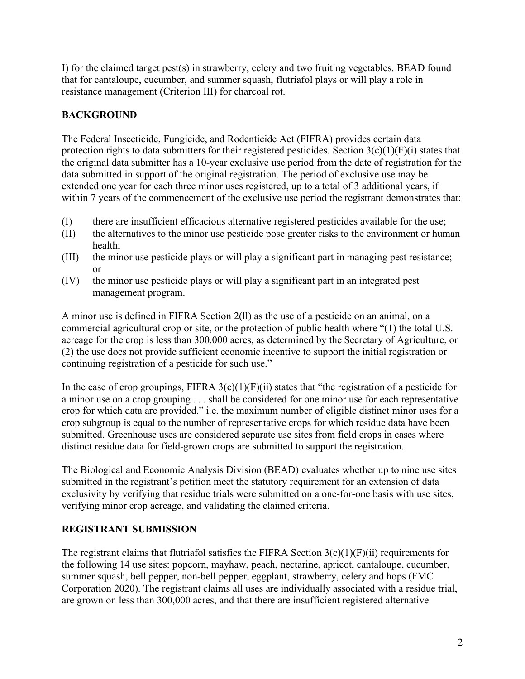resistance management (Criterion III) for charcoal rot. I) for the claimed target pest(s) in strawberry, celery and two fruiting vegetables. BEAD found that for cantaloupe, cucumber, and summer squash, flutriafol plays or will play a role in

# **BACKGROUND**

The Federal Insecticide, Fungicide, and Rodenticide Act (FIFRA) provides certain data protection rights to data submitters for their registered pesticides. Section  $3(c)(1)(F)(i)$  states that the original data submitter has a 10-year exclusive use period from the date of registration for the data submitted in support of the original registration. The period of exclusive use may be extended one year for each three minor uses registered, up to a total of 3 additional years, if within 7 years of the commencement of the exclusive use period the registrant demonstrates that:

- (I) there are insufficient efficacious alternative registered pesticides available for the use;
- (II) the alternatives to the minor use pesticide pose greater risks to the environment or human health;
- (III) the minor use pesticide plays or will play a significant part in managing pest resistance; or
- (IV) the minor use pesticide plays or will play a significant part in an integrated pest management program.

A minor use is defined in FIFRA Section 2(ll) as the use of a pesticide on an animal, on a commercial agricultural crop or site, or the protection of public health where "(1) the total U.S. acreage for the crop is less than 300,000 acres, as determined by the Secretary of Agriculture, or (2) the use does not provide sufficient economic incentive to support the initial registration or continuing registration of a pesticide for such use."

In the case of crop groupings, FIFRA  $3(c)(1)(F)(ii)$  states that "the registration of a pesticide for a minor use on a crop grouping . . . shall be considered for one minor use for each representative crop for which data are provided." i.e. the maximum number of eligible distinct minor uses for a crop subgroup is equal to the number of representative crops for which residue data have been submitted. Greenhouse uses are considered separate use sites from field crops in cases where distinct residue data for field-grown crops are submitted to support the registration.

 submitted in the registrant's petition meet the statutory requirement for an extension of data The Biological and Economic Analysis Division (BEAD) evaluates whether up to nine use sites exclusivity by verifying that residue trials were submitted on a one-for-one basis with use sites, verifying minor crop acreage, and validating the claimed criteria.

## **REGISTRANT SUBMISSION**

The registrant claims that flutriafol satisfies the FIFRA Section  $3(c)(1)(F)(ii)$  requirements for the following 14 use sites: popcorn, mayhaw, peach, nectarine, apricot, cantaloupe, cucumber, summer squash, bell pepper, non-bell pepper, eggplant, strawberry, celery and hops (FMC Corporation 2020). The registrant claims all uses are individually associated with a residue trial, are grown on less than 300,000 acres, and that there are insufficient registered alternative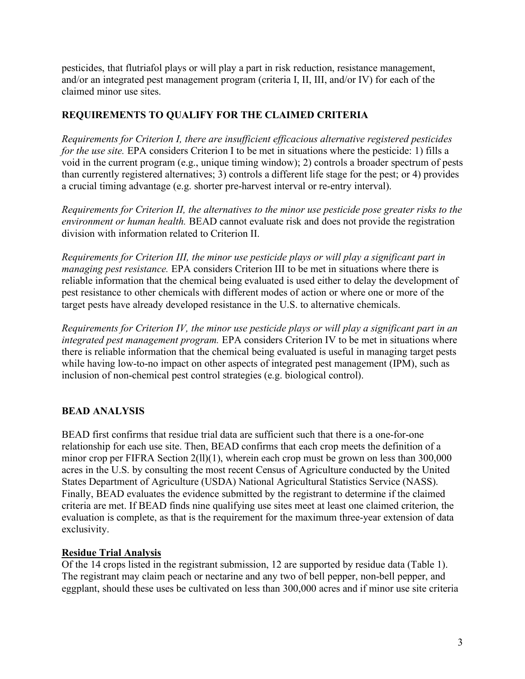pesticides, that flutriafol plays or will play a part in risk reduction, resistance management, and/or an integrated pest management program (criteria I, II, III, and/or IV) for each of the claimed minor use sites.

## **REQUIREMENTS TO QUALIFY FOR THE CLAIMED CRITERIA**

 than currently registered alternatives; 3) controls a different life stage for the pest; or 4) provides *Requirements for Criterion I, there are insufficient efficacious alternative registered pesticides for the use site.* EPA considers Criterion I to be met in situations where the pesticide: 1) fills a void in the current program (e.g., unique timing window); 2) controls a broader spectrum of pests a crucial timing advantage (e.g. shorter pre-harvest interval or re-entry interval).

 division with information related to Criterion II. *Requirements for Criterion II, the alternatives to the minor use pesticide pose greater risks to the environment or human health.* BEAD cannot evaluate risk and does not provide the registration

 *managing pest resistance.* EPA considers Criterion III to be met in situations where there is pest resistance to other chemicals with different modes of action or where one or more of the *Requirements for Criterion III, the minor use pesticide plays or will play a significant part in*  reliable information that the chemical being evaluated is used either to delay the development of target pests have already developed resistance in the U.S. to alternative chemicals.

 *integrated pest management program.* EPA considers Criterion IV to be met in situations where *Requirements for Criterion IV, the minor use pesticide plays or will play a significant part in an*  there is reliable information that the chemical being evaluated is useful in managing target pests while having low-to-no impact on other aspects of integrated pest management (IPM), such as inclusion of non-chemical pest control strategies (e.g. biological control).

# **BEAD ANALYSIS**

 BEAD first confirms that residue trial data are sufficient such that there is a one-for-one States Department of Agriculture (USDA) National Agricultural Statistics Service (NASS). relationship for each use site. Then, BEAD confirms that each crop meets the definition of a minor crop per FIFRA Section 2(ll)(1), wherein each crop must be grown on less than 300,000 acres in the U.S. by consulting the most recent Census of Agriculture conducted by the United Finally, BEAD evaluates the evidence submitted by the registrant to determine if the claimed criteria are met. If BEAD finds nine qualifying use sites meet at least one claimed criterion, the evaluation is complete, as that is the requirement for the maximum three-year extension of data exclusivity.

### **Residue Trial Analysis**

 Of the 14 crops listed in the registrant submission, 12 are supported by residue data (Table 1). The registrant may claim peach or nectarine and any two of bell pepper, non-bell pepper, and eggplant, should these uses be cultivated on less than 300,000 acres and if minor use site criteria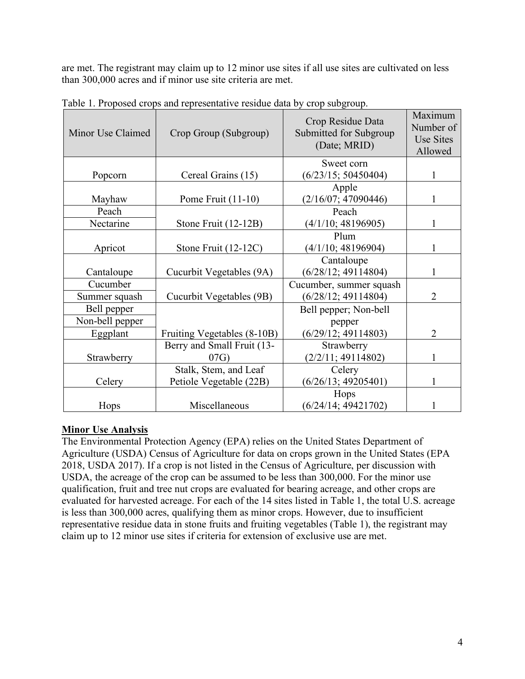are met. The registrant may claim up to 12 minor use sites if all use sites are cultivated on less than 300,000 acres and if minor use site criteria are met.

| Minor Use Claimed | Crop Group (Subgroup)       | Crop Residue Data<br>Submitted for Subgroup<br>(Date; MRID) | Maximum<br>Number of<br>Use Sites<br>Allowed |
|-------------------|-----------------------------|-------------------------------------------------------------|----------------------------------------------|
| Popcorn           | Cereal Grains (15)          | Sweet corn<br>(6/23/15; 50450404)                           | 1                                            |
|                   |                             | Apple                                                       |                                              |
| Mayhaw            | Pome Fruit $(11-10)$        | (2/16/07; 47090446)                                         | 1                                            |
| Peach             |                             | Peach                                                       |                                              |
| Nectarine         | Stone Fruit (12-12B)        | (4/1/10; 48196905)                                          | 1                                            |
|                   |                             | Plum                                                        |                                              |
| Apricot           | Stone Fruit (12-12C)        | (4/1/10; 48196904)                                          | 1                                            |
|                   |                             | Cantaloupe                                                  |                                              |
| Cantaloupe        | Cucurbit Vegetables (9A)    | (6/28/12; 49114804)                                         | 1                                            |
| Cucumber          |                             | Cucumber, summer squash                                     |                                              |
| Summer squash     | Cucurbit Vegetables (9B)    | (6/28/12; 49114804)                                         | $\overline{2}$                               |
| Bell pepper       |                             | Bell pepper; Non-bell                                       |                                              |
| Non-bell pepper   |                             | pepper                                                      |                                              |
| Eggplant          | Fruiting Vegetables (8-10B) | (6/29/12; 49114803)                                         | $\overline{2}$                               |
|                   | Berry and Small Fruit (13-  | Strawberry                                                  |                                              |
| Strawberry        | 07G)                        | (2/2/11; 49114802)                                          | 1                                            |
|                   | Stalk, Stem, and Leaf       | Celery                                                      |                                              |
| Celery            | Petiole Vegetable (22B)     | (6/26/13; 49205401)                                         | 1                                            |
|                   |                             | Hops                                                        |                                              |
| Hops              | Miscellaneous               | (6/24/14; 49421702)                                         |                                              |

Table 1. Proposed crops and representative residue data by crop subgroup.

### **Minor Use Analysis**

 claim up to 12 minor use sites if criteria for extension of exclusive use are met. The Environmental Protection Agency (EPA) relies on the United States Department of Agriculture (USDA) Census of Agriculture for data on crops grown in the United States (EPA 2018, USDA 2017). If a crop is not listed in the Census of Agriculture, per discussion with USDA, the acreage of the crop can be assumed to be less than 300,000. For the minor use qualification, fruit and tree nut crops are evaluated for bearing acreage, and other crops are evaluated for harvested acreage. For each of the 14 sites listed in Table 1, the total U.S. acreage is less than 300,000 acres, qualifying them as minor crops. However, due to insufficient representative residue data in stone fruits and fruiting vegetables (Table 1), the registrant may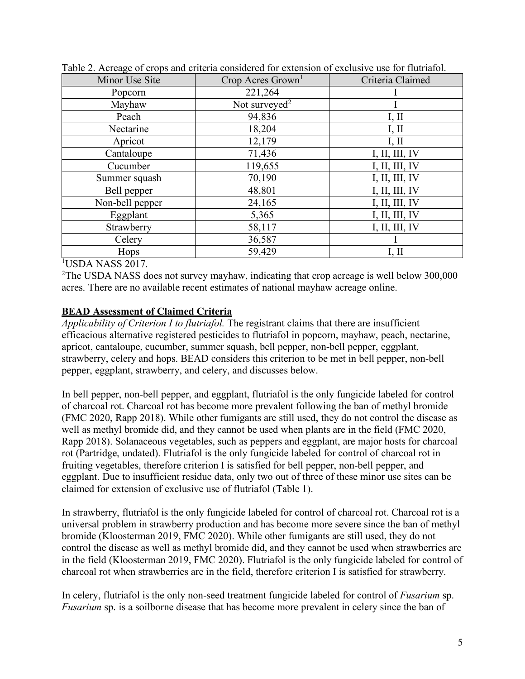| Minor Use Site  | Crop Acres Grown <sup>1</sup> | Criteria Claimed |
|-----------------|-------------------------------|------------------|
| Popcorn         | 221,264                       |                  |
| Mayhaw          | Not surveyed <sup>2</sup>     |                  |
| Peach           | 94,836                        | I, II            |
| Nectarine       | 18,204                        | I, II            |
| Apricot         | 12,179                        | I, II            |
| Cantaloupe      | 71,436                        | I, II, III, IV   |
| Cucumber        | 119,655                       | I, II, III, IV   |
| Summer squash   | 70,190                        | I, II, III, IV   |
| Bell pepper     | 48,801                        | I, II, III, IV   |
| Non-bell pepper | 24,165                        | I, II, III, IV   |
| Eggplant        | 5,365                         | I, II, III, IV   |
| Strawberry      | 58,117                        | I, II, III, IV   |
| Celery          | 36,587                        |                  |
| Hops            | 59,429                        | I, II            |



1 USDA NASS 2017.

<sup>2</sup>The USDA NASS does not survey mayhaw, indicating that crop acreage is well below 300,000 acres. There are no available recent estimates of national mayhaw acreage online.

### **BEAD Assessment of Claimed Criteria**

*Applicability of Criterion I to flutriafol.* The registrant claims that there are insufficient efficacious alternative registered pesticides to flutriafol in popcorn, mayhaw, peach, nectarine, apricot, cantaloupe, cucumber, summer squash, bell pepper, non-bell pepper, eggplant, strawberry, celery and hops. BEAD considers this criterion to be met in bell pepper, non-bell pepper, eggplant, strawberry, and celery, and discusses below.

 claimed for extension of exclusive use of flutriafol (Table 1). In bell pepper, non-bell pepper, and eggplant, flutriafol is the only fungicide labeled for control of charcoal rot. Charcoal rot has become more prevalent following the ban of methyl bromide (FMC 2020, Rapp 2018). While other fumigants are still used, they do not control the disease as well as methyl bromide did, and they cannot be used when plants are in the field (FMC 2020, Rapp 2018). Solanaceous vegetables, such as peppers and eggplant, are major hosts for charcoal rot (Partridge, undated). Flutriafol is the only fungicide labeled for control of charcoal rot in fruiting vegetables, therefore criterion I is satisfied for bell pepper, non-bell pepper, and eggplant. Due to insufficient residue data, only two out of three of these minor use sites can be

 charcoal rot when strawberries are in the field, therefore criterion I is satisfied for strawberry. In strawberry, flutriafol is the only fungicide labeled for control of charcoal rot. Charcoal rot is a universal problem in strawberry production and has become more severe since the ban of methyl bromide (Kloosterman 2019, FMC 2020). While other fumigants are still used, they do not control the disease as well as methyl bromide did, and they cannot be used when strawberries are in the field (Kloosterman 2019, FMC 2020). Flutriafol is the only fungicide labeled for control of

In celery, flutriafol is the only non-seed treatment fungicide labeled for control of *Fusarium* sp. *Fusarium* sp. is a soilborne disease that has become more prevalent in celery since the ban of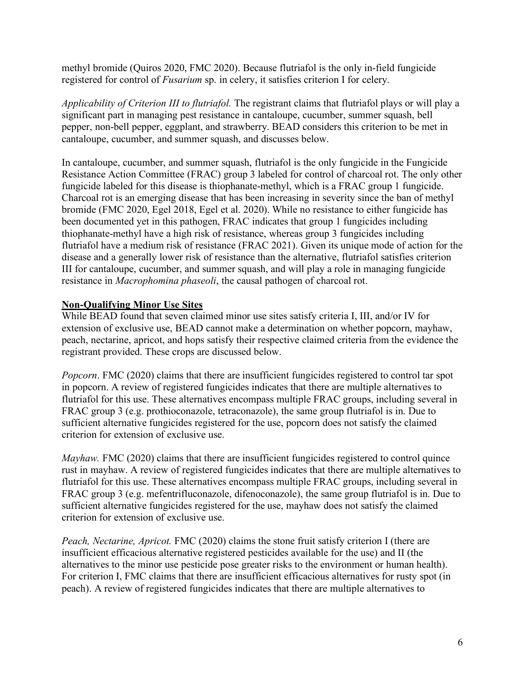methyl bromide (Quiros 2020, FMC 2020). Because flutriafol is the only in-field fungicide registered for control of *Fusarium* sp. in celery, it satisfies criterion I for celery.

 pepper, non-bell pepper, eggplant, and strawberry. BEAD considers this criterion to be met in *Applicability of Criterion III to flutriafol.* The registrant claims that flutriafol plays or will play a significant part in managing pest resistance in cantaloupe, cucumber, summer squash, bell cantaloupe, cucumber, and summer squash, and discusses below.

 In cantaloupe, cucumber, and summer squash, flutriafol is the only fungicide in the Fungicide Resistance Action Committee (FRAC) group 3 labeled for control of charcoal rot. The only other bromide (FMC 2020, Egel 2018, Egel et al. 2020). While no resistance to either fungicide has resistance in *Macrophomina phaseoli*, the causal pathogen of charcoal rot. fungicide labeled for this disease is thiophanate-methyl, which is a FRAC group 1 fungicide. Charcoal rot is an emerging disease that has been increasing in severity since the ban of methyl been documented yet in this pathogen, FRAC indicates that group 1 fungicides including thiophanate-methyl have a high risk of resistance, whereas group 3 fungicides including flutriafol have a medium risk of resistance (FRAC 2021). Given its unique mode of action for the disease and a generally lower risk of resistance than the alternative, flutriafol satisfies criterion III for cantaloupe, cucumber, and summer squash, and will play a role in managing fungicide

### **Non-Qualifying Minor Use Sites**

While BEAD found that seven claimed minor use sites satisfy criteria I, III, and/or IV for extension of exclusive use, BEAD cannot make a determination on whether popcorn, mayhaw, peach, nectarine, apricot, and hops satisfy their respective claimed criteria from the evidence the registrant provided. These crops are discussed below.

 in popcorn. A review of registered fungicides indicates that there are multiple alternatives to *Popcorn*. FMC (2020) claims that there are insufficient fungicides registered to control tar spot flutriafol for this use. These alternatives encompass multiple FRAC groups, including several in FRAC group 3 (e.g. prothioconazole, tetraconazole), the same group flutriafol is in. Due to sufficient alternative fungicides registered for the use, popcorn does not satisfy the claimed criterion for extension of exclusive use.

 rust in mayhaw. A review of registered fungicides indicates that there are multiple alternatives to sufficient alternative fungicides registered for the use, mayhaw does not satisfy the claimed *Mayhaw.* FMC (2020) claims that there are insufficient fungicides registered to control quince flutriafol for this use. These alternatives encompass multiple FRAC groups, including several in FRAC group 3 (e.g. mefentrifluconazole, difenoconazole), the same group flutriafol is in. Due to criterion for extension of exclusive use.

*Peach, Nectarine, Apricot.* FMC (2020) claims the stone fruit satisfy criterion I (there are insufficient efficacious alternative registered pesticides available for the use) and II (the alternatives to the minor use pesticide pose greater risks to the environment or human health). For criterion I, FMC claims that there are insufficient efficacious alternatives for rusty spot (in peach). A review of registered fungicides indicates that there are multiple alternatives to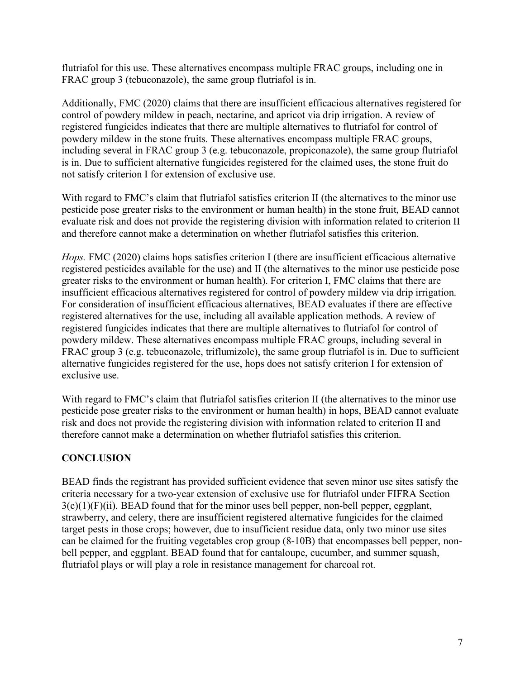FRAC group 3 (tebuconazole), the same group flutriafol is in. flutriafol for this use. These alternatives encompass multiple FRAC groups, including one in

Additionally, FMC (2020) claims that there are insufficient efficacious alternatives registered for control of powdery mildew in peach, nectarine, and apricot via drip irrigation. A review of registered fungicides indicates that there are multiple alternatives to flutriafol for control of powdery mildew in the stone fruits. These alternatives encompass multiple FRAC groups, including several in FRAC group 3 (e.g. tebuconazole, propiconazole), the same group flutriafol is in. Due to sufficient alternative fungicides registered for the claimed uses, the stone fruit do not satisfy criterion I for extension of exclusive use.

 pesticide pose greater risks to the environment or human health) in the stone fruit, BEAD cannot With regard to FMC's claim that flutriafol satisfies criterion II (the alternatives to the minor use evaluate risk and does not provide the registering division with information related to criterion II and therefore cannot make a determination on whether flutriafol satisfies this criterion.

 registered alternatives for the use, including all available application methods. A review of alternative fungicides registered for the use, hops does not satisfy criterion I for extension of *Hops.* FMC (2020) claims hops satisfies criterion I (there are insufficient efficacious alternative registered pesticides available for the use) and II (the alternatives to the minor use pesticide pose greater risks to the environment or human health). For criterion I, FMC claims that there are insufficient efficacious alternatives registered for control of powdery mildew via drip irrigation. For consideration of insufficient efficacious alternatives, BEAD evaluates if there are effective registered fungicides indicates that there are multiple alternatives to flutriafol for control of powdery mildew. These alternatives encompass multiple FRAC groups, including several in FRAC group 3 (e.g. tebuconazole, triflumizole), the same group flutriafol is in. Due to sufficient exclusive use.

With regard to FMC's claim that flutriafol satisfies criterion II (the alternatives to the minor use pesticide pose greater risks to the environment or human health) in hops, BEAD cannot evaluate risk and does not provide the registering division with information related to criterion II and therefore cannot make a determination on whether flutriafol satisfies this criterion.

## **CONCLUSION**

 BEAD finds the registrant has provided sufficient evidence that seven minor use sites satisfy the strawberry, and celery, there are insufficient registered alternative fungicides for the claimed can be claimed for the fruiting vegetables crop group (8-10B) that encompasses bell pepper, noncriteria necessary for a two-year extension of exclusive use for flutriafol under FIFRA Section  $3(c)(1)(F)(ii)$ . BEAD found that for the minor uses bell pepper, non-bell pepper, eggplant, target pests in those crops; however, due to insufficient residue data, only two minor use sites bell pepper, and eggplant. BEAD found that for cantaloupe, cucumber, and summer squash, flutriafol plays or will play a role in resistance management for charcoal rot.